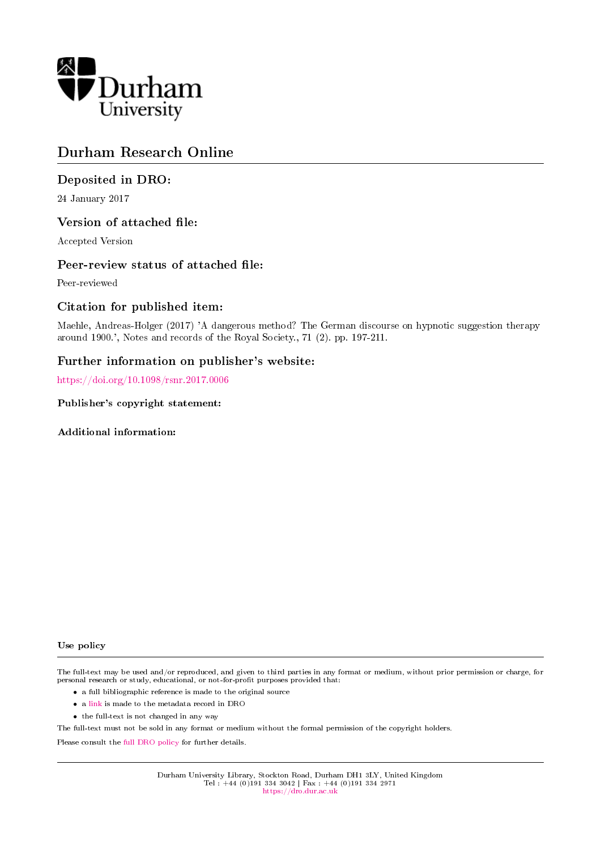

## Durham Research Online

## Deposited in DRO:

24 January 2017

## Version of attached file:

Accepted Version

## Peer-review status of attached file:

Peer-reviewed

## Citation for published item:

Maehle, Andreas-Holger (2017) 'A dangerous method? The German discourse on hypnotic suggestion therapy around 1900.', Notes and records of the Royal Society., 71 (2). pp. 197-211.

## Further information on publisher's website:

<https://doi.org/10.1098/rsnr.2017.0006>

## Publisher's copyright statement:

Additional information:

#### Use policy

The full-text may be used and/or reproduced, and given to third parties in any format or medium, without prior permission or charge, for personal research or study, educational, or not-for-profit purposes provided that:

- a full bibliographic reference is made to the original source
- a [link](http://dro.dur.ac.uk/20717/) is made to the metadata record in DRO
- the full-text is not changed in any way

The full-text must not be sold in any format or medium without the formal permission of the copyright holders.

Please consult the [full DRO policy](https://dro.dur.ac.uk/policies/usepolicy.pdf) for further details.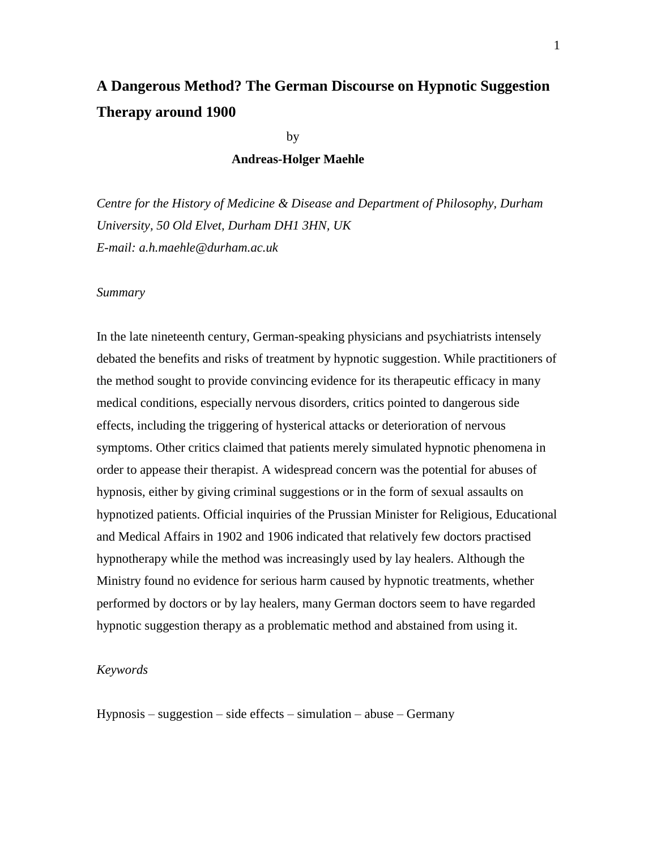# **A Dangerous Method? The German Discourse on Hypnotic Suggestion Therapy around 1900**

by

## **Andreas-Holger Maehle**

*Centre for the History of Medicine & Disease and Department of Philosophy, Durham University, 50 Old Elvet, Durham DH1 3HN, UK E-mail: a.h.maehle@durham.ac.uk*

#### *Summary*

In the late nineteenth century, German-speaking physicians and psychiatrists intensely debated the benefits and risks of treatment by hypnotic suggestion. While practitioners of the method sought to provide convincing evidence for its therapeutic efficacy in many medical conditions, especially nervous disorders, critics pointed to dangerous side effects, including the triggering of hysterical attacks or deterioration of nervous symptoms. Other critics claimed that patients merely simulated hypnotic phenomena in order to appease their therapist. A widespread concern was the potential for abuses of hypnosis, either by giving criminal suggestions or in the form of sexual assaults on hypnotized patients. Official inquiries of the Prussian Minister for Religious, Educational and Medical Affairs in 1902 and 1906 indicated that relatively few doctors practised hypnotherapy while the method was increasingly used by lay healers. Although the Ministry found no evidence for serious harm caused by hypnotic treatments, whether performed by doctors or by lay healers, many German doctors seem to have regarded hypnotic suggestion therapy as a problematic method and abstained from using it.

## *Keywords*

 $Hypnosis - suggestion - side effects - simulation - abuse - Germany$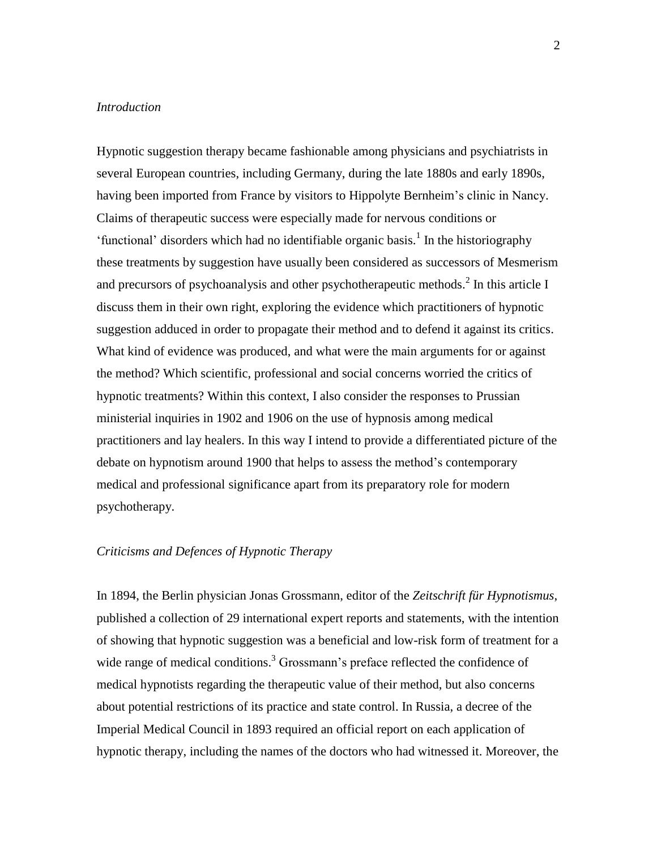## *Introduction*

Hypnotic suggestion therapy became fashionable among physicians and psychiatrists in several European countries, including Germany, during the late 1880s and early 1890s, having been imported from France by visitors to Hippolyte Bernheim's clinic in Nancy. Claims of therapeutic success were especially made for nervous conditions or 'functional' disorders which had no identifiable organic basis.<sup>1</sup> In the historiography these treatments by suggestion have usually been considered as successors of Mesmerism and precursors of psychoanalysis and other psychotherapeutic methods. $^{2}$  In this article I discuss them in their own right, exploring the evidence which practitioners of hypnotic suggestion adduced in order to propagate their method and to defend it against its critics. What kind of evidence was produced, and what were the main arguments for or against the method? Which scientific, professional and social concerns worried the critics of hypnotic treatments? Within this context, I also consider the responses to Prussian ministerial inquiries in 1902 and 1906 on the use of hypnosis among medical practitioners and lay healers. In this way I intend to provide a differentiated picture of the debate on hypnotism around 1900 that helps to assess the method's contemporary medical and professional significance apart from its preparatory role for modern psychotherapy.

## *Criticisms and Defences of Hypnotic Therapy*

In 1894, the Berlin physician Jonas Grossmann, editor of the *Zeitschrift für Hypnotismus*, published a collection of 29 international expert reports and statements, with the intention of showing that hypnotic suggestion was a beneficial and low-risk form of treatment for a wide range of medical conditions.<sup>3</sup> Grossmann's preface reflected the confidence of medical hypnotists regarding the therapeutic value of their method, but also concerns about potential restrictions of its practice and state control. In Russia, a decree of the Imperial Medical Council in 1893 required an official report on each application of hypnotic therapy, including the names of the doctors who had witnessed it. Moreover, the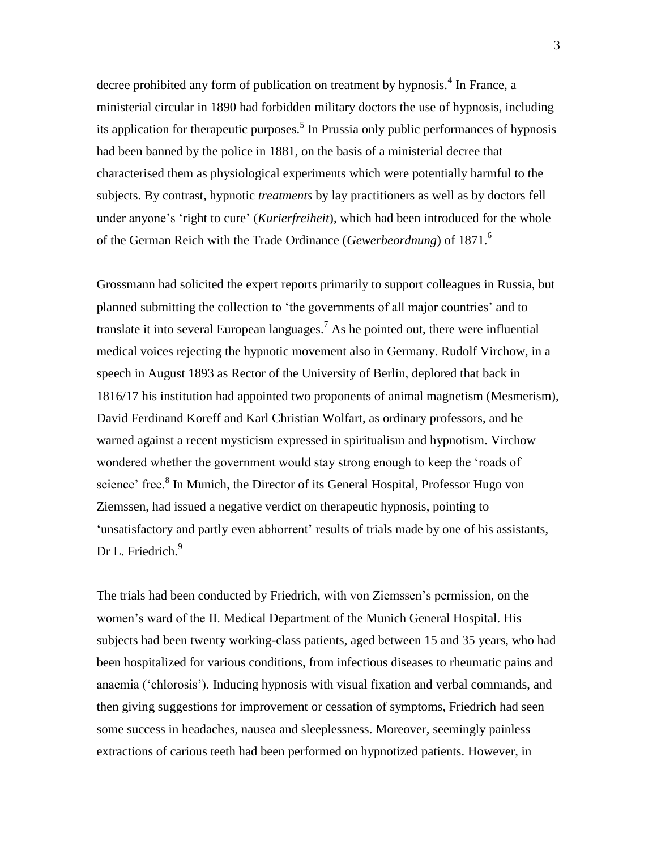decree prohibited any form of publication on treatment by hypnosis.<sup>4</sup> In France, a ministerial circular in 1890 had forbidden military doctors the use of hypnosis, including its application for therapeutic purposes.<sup>5</sup> In Prussia only public performances of hypnosis had been banned by the police in 1881, on the basis of a ministerial decree that characterised them as physiological experiments which were potentially harmful to the subjects. By contrast, hypnotic *treatments* by lay practitioners as well as by doctors fell under anyone's 'right to cure' (*Kurierfreiheit*), which had been introduced for the whole of the German Reich with the Trade Ordinance (*Gewerbeordnung*) of 1871. 6

Grossmann had solicited the expert reports primarily to support colleagues in Russia, but planned submitting the collection to 'the governments of all major countries' and to translate it into several European languages. <sup>7</sup> As he pointed out, there were influential medical voices rejecting the hypnotic movement also in Germany. Rudolf Virchow, in a speech in August 1893 as Rector of the University of Berlin, deplored that back in 1816/17 his institution had appointed two proponents of animal magnetism (Mesmerism), David Ferdinand Koreff and Karl Christian Wolfart, as ordinary professors, and he warned against a recent mysticism expressed in spiritualism and hypnotism. Virchow wondered whether the government would stay strong enough to keep the 'roads of science' free.<sup>8</sup> In Munich, the Director of its General Hospital, Professor Hugo von Ziemssen, had issued a negative verdict on therapeutic hypnosis, pointing to 'unsatisfactory and partly even abhorrent' results of trials made by one of his assistants, Dr L. Friedrich.<sup>9</sup>

The trials had been conducted by Friedrich, with von Ziemssen's permission, on the women's ward of the II. Medical Department of the Munich General Hospital. His subjects had been twenty working-class patients, aged between 15 and 35 years, who had been hospitalized for various conditions, from infectious diseases to rheumatic pains and anaemia ('chlorosis'). Inducing hypnosis with visual fixation and verbal commands, and then giving suggestions for improvement or cessation of symptoms, Friedrich had seen some success in headaches, nausea and sleeplessness. Moreover, seemingly painless extractions of carious teeth had been performed on hypnotized patients. However, in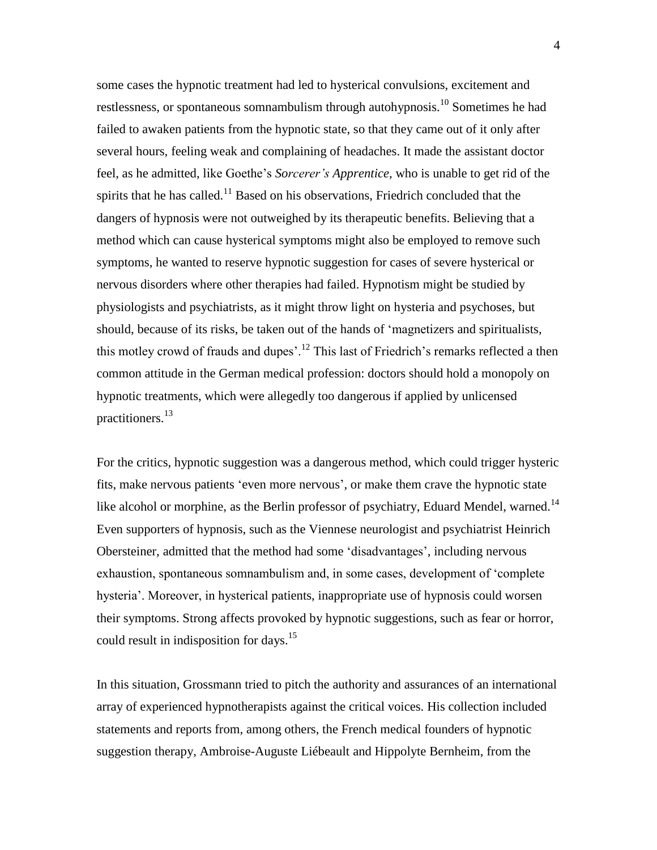some cases the hypnotic treatment had led to hysterical convulsions, excitement and restlessness, or spontaneous somnambulism through autohypnosis.<sup>10</sup> Sometimes he had failed to awaken patients from the hypnotic state, so that they came out of it only after several hours, feeling weak and complaining of headaches. It made the assistant doctor feel, as he admitted, like Goethe's *Sorcerer's Apprentice,* who is unable to get rid of the spirits that he has called.<sup>11</sup> Based on his observations, Friedrich concluded that the dangers of hypnosis were not outweighed by its therapeutic benefits. Believing that a method which can cause hysterical symptoms might also be employed to remove such symptoms, he wanted to reserve hypnotic suggestion for cases of severe hysterical or nervous disorders where other therapies had failed. Hypnotism might be studied by physiologists and psychiatrists, as it might throw light on hysteria and psychoses, but should, because of its risks, be taken out of the hands of 'magnetizers and spiritualists, this motley crowd of frauds and dupes'.<sup>12</sup> This last of Friedrich's remarks reflected a then common attitude in the German medical profession: doctors should hold a monopoly on hypnotic treatments, which were allegedly too dangerous if applied by unlicensed practitioners.<sup>13</sup>

For the critics, hypnotic suggestion was a dangerous method, which could trigger hysteric fits, make nervous patients 'even more nervous', or make them crave the hypnotic state like alcohol or morphine, as the Berlin professor of psychiatry, Eduard Mendel, warned.<sup>14</sup> Even supporters of hypnosis, such as the Viennese neurologist and psychiatrist Heinrich Obersteiner, admitted that the method had some 'disadvantages', including nervous exhaustion, spontaneous somnambulism and, in some cases, development of 'complete hysteria'. Moreover, in hysterical patients, inappropriate use of hypnosis could worsen their symptoms. Strong affects provoked by hypnotic suggestions, such as fear or horror, could result in indisposition for days.<sup>15</sup>

In this situation, Grossmann tried to pitch the authority and assurances of an international array of experienced hypnotherapists against the critical voices. His collection included statements and reports from, among others, the French medical founders of hypnotic suggestion therapy, Ambroise-Auguste Liébeault and Hippolyte Bernheim, from the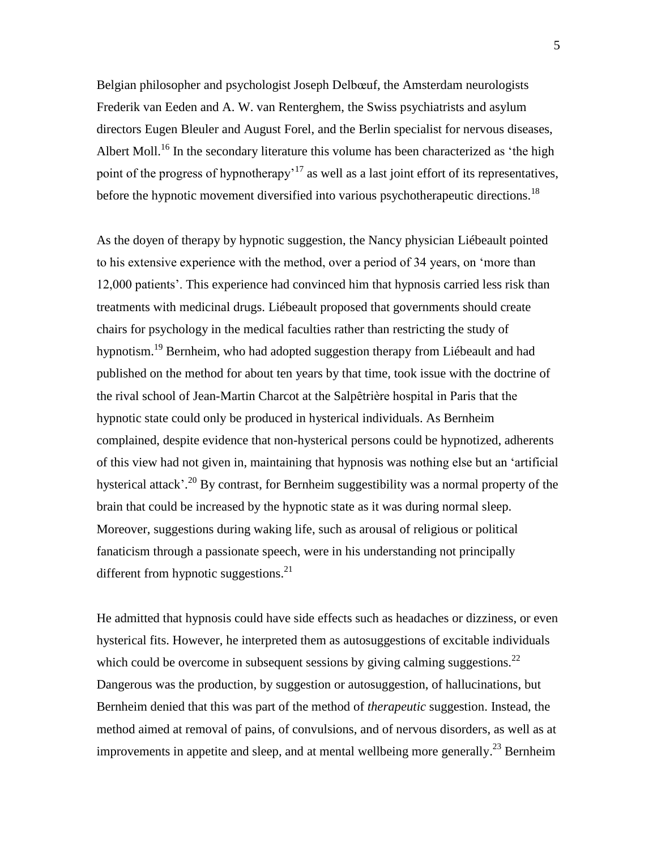Belgian philosopher and psychologist Joseph Delbœuf, the Amsterdam neurologists Frederik van Eeden and A. W. van Renterghem, the Swiss psychiatrists and asylum directors Eugen Bleuler and August Forel, and the Berlin specialist for nervous diseases, Albert Moll.<sup>16</sup> In the secondary literature this volume has been characterized as 'the high point of the progress of hypnotherapy<sup> $17$ </sup> as well as a last joint effort of its representatives, before the hypnotic movement diversified into various psychotherapeutic directions.<sup>18</sup>

As the doyen of therapy by hypnotic suggestion, the Nancy physician Liébeault pointed to his extensive experience with the method, over a period of 34 years, on 'more than 12,000 patients'. This experience had convinced him that hypnosis carried less risk than treatments with medicinal drugs. Liébeault proposed that governments should create chairs for psychology in the medical faculties rather than restricting the study of hypnotism.<sup>19</sup> Bernheim, who had adopted suggestion therapy from Liébeault and had published on the method for about ten years by that time, took issue with the doctrine of the rival school of Jean-Martin Charcot at the Salpȇtrière hospital in Paris that the hypnotic state could only be produced in hysterical individuals. As Bernheim complained, despite evidence that non-hysterical persons could be hypnotized, adherents of this view had not given in, maintaining that hypnosis was nothing else but an 'artificial hysterical attack'.<sup>20</sup> By contrast, for Bernheim suggestibility was a normal property of the brain that could be increased by the hypnotic state as it was during normal sleep. Moreover, suggestions during waking life, such as arousal of religious or political fanaticism through a passionate speech, were in his understanding not principally different from hypnotic suggestions.<sup>21</sup>

He admitted that hypnosis could have side effects such as headaches or dizziness, or even hysterical fits. However, he interpreted them as autosuggestions of excitable individuals which could be overcome in subsequent sessions by giving calming suggestions.<sup>22</sup> Dangerous was the production, by suggestion or autosuggestion, of hallucinations, but Bernheim denied that this was part of the method of *therapeutic* suggestion. Instead, the method aimed at removal of pains, of convulsions, and of nervous disorders, as well as at improvements in appetite and sleep, and at mental wellbeing more generally.<sup>23</sup> Bernheim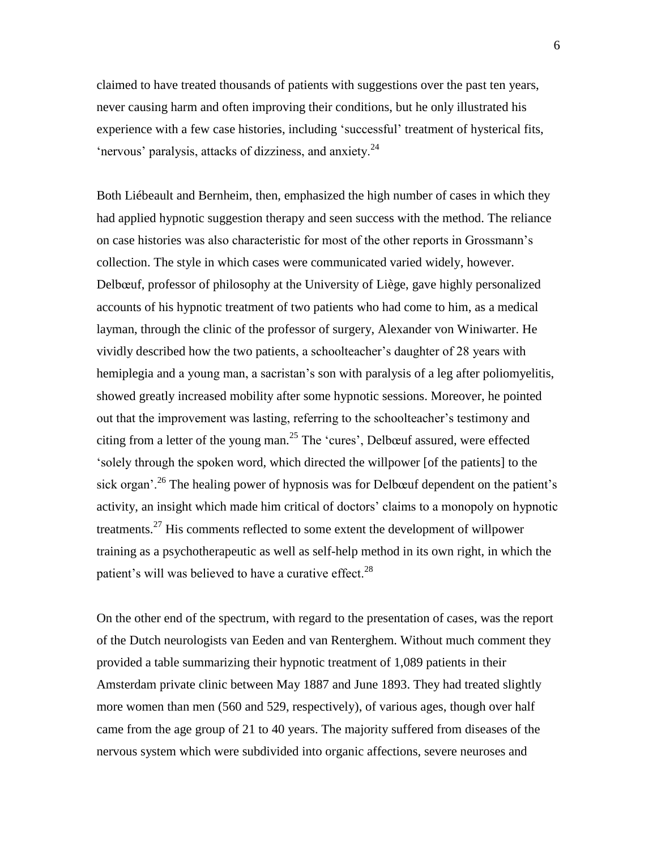claimed to have treated thousands of patients with suggestions over the past ten years, never causing harm and often improving their conditions, but he only illustrated his experience with a few case histories, including 'successful' treatment of hysterical fits, 'nervous' paralysis, attacks of dizziness, and anxiety. $24$ 

Both Liébeault and Bernheim, then, emphasized the high number of cases in which they had applied hypnotic suggestion therapy and seen success with the method. The reliance on case histories was also characteristic for most of the other reports in Grossmann's collection. The style in which cases were communicated varied widely, however. Delbœuf, professor of philosophy at the University of Liège, gave highly personalized accounts of his hypnotic treatment of two patients who had come to him, as a medical layman, through the clinic of the professor of surgery, Alexander von Winiwarter. He vividly described how the two patients, a schoolteacher's daughter of 28 years with hemiplegia and a young man, a sacristan's son with paralysis of a leg after poliomyelitis, showed greatly increased mobility after some hypnotic sessions. Moreover, he pointed out that the improvement was lasting, referring to the schoolteacher's testimony and citing from a letter of the young man.<sup>25</sup> The 'cures', Delbœuf assured, were effected 'solely through the spoken word, which directed the willpower [of the patients] to the sick organ'.<sup>26</sup> The healing power of hypnosis was for Delbœuf dependent on the patient's activity, an insight which made him critical of doctors' claims to a monopoly on hypnotic treatments.<sup>27</sup> His comments reflected to some extent the development of willpower training as a psychotherapeutic as well as self-help method in its own right, in which the patient's will was believed to have a curative effect.<sup>28</sup>

On the other end of the spectrum, with regard to the presentation of cases, was the report of the Dutch neurologists van Eeden and van Renterghem. Without much comment they provided a table summarizing their hypnotic treatment of 1,089 patients in their Amsterdam private clinic between May 1887 and June 1893. They had treated slightly more women than men (560 and 529, respectively), of various ages, though over half came from the age group of 21 to 40 years. The majority suffered from diseases of the nervous system which were subdivided into organic affections, severe neuroses and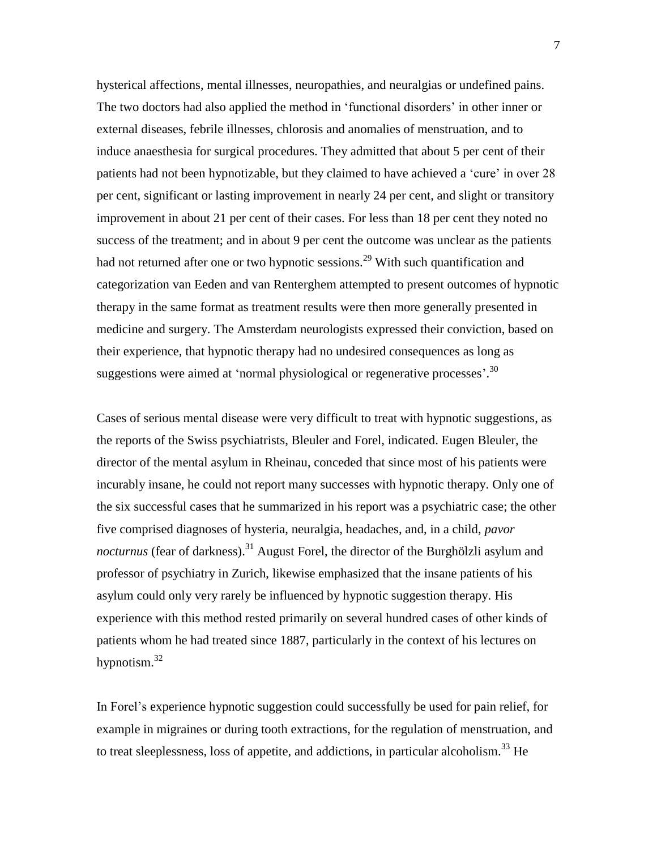hysterical affections, mental illnesses, neuropathies, and neuralgias or undefined pains. The two doctors had also applied the method in 'functional disorders' in other inner or external diseases, febrile illnesses, chlorosis and anomalies of menstruation, and to induce anaesthesia for surgical procedures. They admitted that about 5 per cent of their patients had not been hypnotizable, but they claimed to have achieved a 'cure' in over 28 per cent, significant or lasting improvement in nearly 24 per cent, and slight or transitory improvement in about 21 per cent of their cases. For less than 18 per cent they noted no success of the treatment; and in about 9 per cent the outcome was unclear as the patients had not returned after one or two hypnotic sessions.<sup>29</sup> With such quantification and categorization van Eeden and van Renterghem attempted to present outcomes of hypnotic therapy in the same format as treatment results were then more generally presented in medicine and surgery. The Amsterdam neurologists expressed their conviction, based on their experience, that hypnotic therapy had no undesired consequences as long as suggestions were aimed at 'normal physiological or regenerative processes'.<sup>30</sup>

Cases of serious mental disease were very difficult to treat with hypnotic suggestions, as the reports of the Swiss psychiatrists, Bleuler and Forel, indicated. Eugen Bleuler, the director of the mental asylum in Rheinau, conceded that since most of his patients were incurably insane, he could not report many successes with hypnotic therapy. Only one of the six successful cases that he summarized in his report was a psychiatric case; the other five comprised diagnoses of hysteria, neuralgia, headaches, and, in a child, *pavor nocturnus* (fear of darkness). <sup>31</sup> August Forel, the director of the Burghölzli asylum and professor of psychiatry in Zurich, likewise emphasized that the insane patients of his asylum could only very rarely be influenced by hypnotic suggestion therapy. His experience with this method rested primarily on several hundred cases of other kinds of patients whom he had treated since 1887, particularly in the context of his lectures on hypnotism.<sup>32</sup>

In Forel's experience hypnotic suggestion could successfully be used for pain relief, for example in migraines or during tooth extractions, for the regulation of menstruation, and to treat sleeplessness, loss of appetite, and addictions, in particular alcoholism.<sup>33</sup> He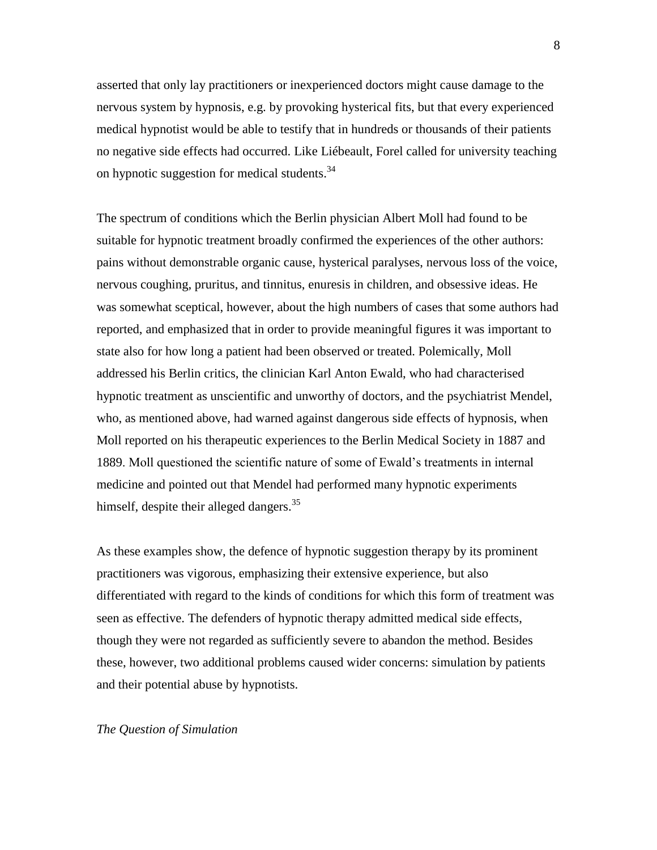asserted that only lay practitioners or inexperienced doctors might cause damage to the nervous system by hypnosis, e.g. by provoking hysterical fits, but that every experienced medical hypnotist would be able to testify that in hundreds or thousands of their patients no negative side effects had occurred. Like Liébeault, Forel called for university teaching on hypnotic suggestion for medical students.<sup>34</sup>

The spectrum of conditions which the Berlin physician Albert Moll had found to be suitable for hypnotic treatment broadly confirmed the experiences of the other authors: pains without demonstrable organic cause, hysterical paralyses, nervous loss of the voice, nervous coughing, pruritus, and tinnitus, enuresis in children, and obsessive ideas. He was somewhat sceptical, however, about the high numbers of cases that some authors had reported, and emphasized that in order to provide meaningful figures it was important to state also for how long a patient had been observed or treated. Polemically, Moll addressed his Berlin critics, the clinician Karl Anton Ewald, who had characterised hypnotic treatment as unscientific and unworthy of doctors, and the psychiatrist Mendel, who, as mentioned above, had warned against dangerous side effects of hypnosis, when Moll reported on his therapeutic experiences to the Berlin Medical Society in 1887 and 1889. Moll questioned the scientific nature of some of Ewald's treatments in internal medicine and pointed out that Mendel had performed many hypnotic experiments himself, despite their alleged dangers. $35$ 

As these examples show, the defence of hypnotic suggestion therapy by its prominent practitioners was vigorous, emphasizing their extensive experience, but also differentiated with regard to the kinds of conditions for which this form of treatment was seen as effective. The defenders of hypnotic therapy admitted medical side effects, though they were not regarded as sufficiently severe to abandon the method. Besides these, however, two additional problems caused wider concerns: simulation by patients and their potential abuse by hypnotists.

## *The Question of Simulation*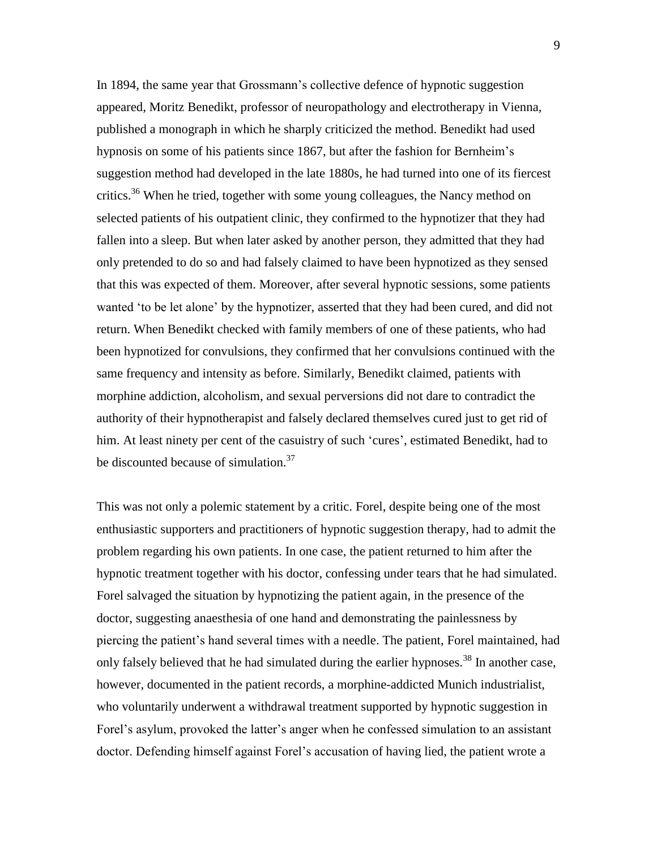In 1894, the same year that Grossmann's collective defence of hypnotic suggestion appeared, Moritz Benedikt, professor of neuropathology and electrotherapy in Vienna, published a monograph in which he sharply criticized the method. Benedikt had used hypnosis on some of his patients since 1867, but after the fashion for Bernheim's suggestion method had developed in the late 1880s, he had turned into one of its fiercest critics.<sup>36</sup> When he tried, together with some young colleagues, the Nancy method on selected patients of his outpatient clinic, they confirmed to the hypnotizer that they had fallen into a sleep. But when later asked by another person, they admitted that they had only pretended to do so and had falsely claimed to have been hypnotized as they sensed that this was expected of them. Moreover, after several hypnotic sessions, some patients wanted 'to be let alone' by the hypnotizer, asserted that they had been cured, and did not return. When Benedikt checked with family members of one of these patients, who had been hypnotized for convulsions, they confirmed that her convulsions continued with the same frequency and intensity as before. Similarly, Benedikt claimed, patients with morphine addiction, alcoholism, and sexual perversions did not dare to contradict the authority of their hypnotherapist and falsely declared themselves cured just to get rid of him. At least ninety per cent of the casuistry of such 'cures', estimated Benedikt, had to be discounted because of simulation. $37$ 

This was not only a polemic statement by a critic. Forel, despite being one of the most enthusiastic supporters and practitioners of hypnotic suggestion therapy, had to admit the problem regarding his own patients. In one case, the patient returned to him after the hypnotic treatment together with his doctor, confessing under tears that he had simulated. Forel salvaged the situation by hypnotizing the patient again, in the presence of the doctor, suggesting anaesthesia of one hand and demonstrating the painlessness by piercing the patient's hand several times with a needle. The patient, Forel maintained, had only falsely believed that he had simulated during the earlier hypnoses.<sup>38</sup> In another case, however, documented in the patient records, a morphine-addicted Munich industrialist, who voluntarily underwent a withdrawal treatment supported by hypnotic suggestion in Forel's asylum, provoked the latter's anger when he confessed simulation to an assistant doctor. Defending himself against Forel's accusation of having lied, the patient wrote a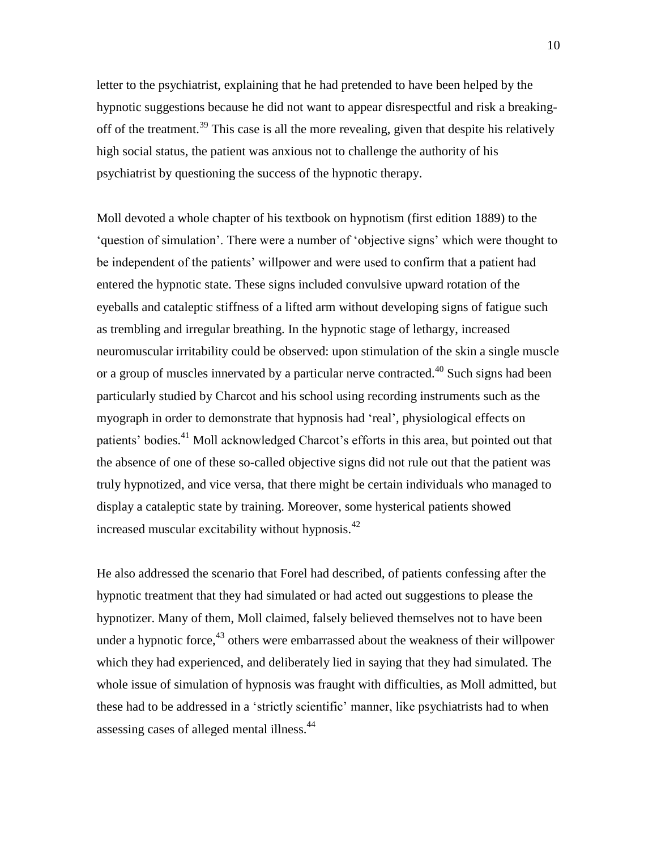letter to the psychiatrist, explaining that he had pretended to have been helped by the hypnotic suggestions because he did not want to appear disrespectful and risk a breakingoff of the treatment.<sup>39</sup> This case is all the more revealing, given that despite his relatively high social status, the patient was anxious not to challenge the authority of his psychiatrist by questioning the success of the hypnotic therapy.

Moll devoted a whole chapter of his textbook on hypnotism (first edition 1889) to the 'question of simulation'. There were a number of 'objective signs' which were thought to be independent of the patients' willpower and were used to confirm that a patient had entered the hypnotic state. These signs included convulsive upward rotation of the eyeballs and cataleptic stiffness of a lifted arm without developing signs of fatigue such as trembling and irregular breathing. In the hypnotic stage of lethargy, increased neuromuscular irritability could be observed: upon stimulation of the skin a single muscle or a group of muscles innervated by a particular nerve contracted.<sup>40</sup> Such signs had been particularly studied by Charcot and his school using recording instruments such as the myograph in order to demonstrate that hypnosis had 'real', physiological effects on patients' bodies.<sup>41</sup> Moll acknowledged Charcot's efforts in this area, but pointed out that the absence of one of these so-called objective signs did not rule out that the patient was truly hypnotized, and vice versa, that there might be certain individuals who managed to display a cataleptic state by training. Moreover, some hysterical patients showed increased muscular excitability without hypnosis.<sup>42</sup>

He also addressed the scenario that Forel had described, of patients confessing after the hypnotic treatment that they had simulated or had acted out suggestions to please the hypnotizer. Many of them, Moll claimed, falsely believed themselves not to have been under a hypnotic force,  $43$  others were embarrassed about the weakness of their willpower which they had experienced, and deliberately lied in saying that they had simulated. The whole issue of simulation of hypnosis was fraught with difficulties, as Moll admitted, but these had to be addressed in a 'strictly scientific' manner, like psychiatrists had to when assessing cases of alleged mental illness.<sup>44</sup>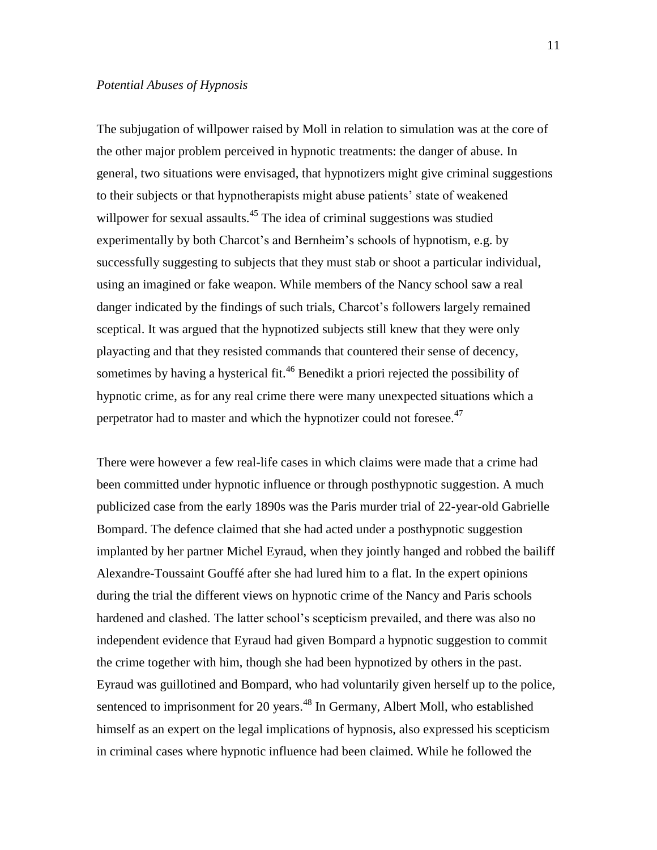## *Potential Abuses of Hypnosis*

The subjugation of willpower raised by Moll in relation to simulation was at the core of the other major problem perceived in hypnotic treatments: the danger of abuse. In general, two situations were envisaged, that hypnotizers might give criminal suggestions to their subjects or that hypnotherapists might abuse patients' state of weakened willpower for sexual assaults.<sup>45</sup> The idea of criminal suggestions was studied experimentally by both Charcot's and Bernheim's schools of hypnotism, e.g. by successfully suggesting to subjects that they must stab or shoot a particular individual, using an imagined or fake weapon. While members of the Nancy school saw a real danger indicated by the findings of such trials, Charcot's followers largely remained sceptical. It was argued that the hypnotized subjects still knew that they were only playacting and that they resisted commands that countered their sense of decency, sometimes by having a hysterical fit.<sup>46</sup> Benedikt a priori rejected the possibility of hypnotic crime, as for any real crime there were many unexpected situations which a perpetrator had to master and which the hypnotizer could not foresee.<sup>47</sup>

There were however a few real-life cases in which claims were made that a crime had been committed under hypnotic influence or through posthypnotic suggestion. A much publicized case from the early 1890s was the Paris murder trial of 22-year-old Gabrielle Bompard. The defence claimed that she had acted under a posthypnotic suggestion implanted by her partner Michel Eyraud, when they jointly hanged and robbed the bailiff Alexandre-Toussaint Gouffé after she had lured him to a flat. In the expert opinions during the trial the different views on hypnotic crime of the Nancy and Paris schools hardened and clashed. The latter school's scepticism prevailed, and there was also no independent evidence that Eyraud had given Bompard a hypnotic suggestion to commit the crime together with him, though she had been hypnotized by others in the past. Eyraud was guillotined and Bompard, who had voluntarily given herself up to the police, sentenced to imprisonment for 20 years.<sup>48</sup> In Germany, Albert Moll, who established himself as an expert on the legal implications of hypnosis, also expressed his scepticism in criminal cases where hypnotic influence had been claimed. While he followed the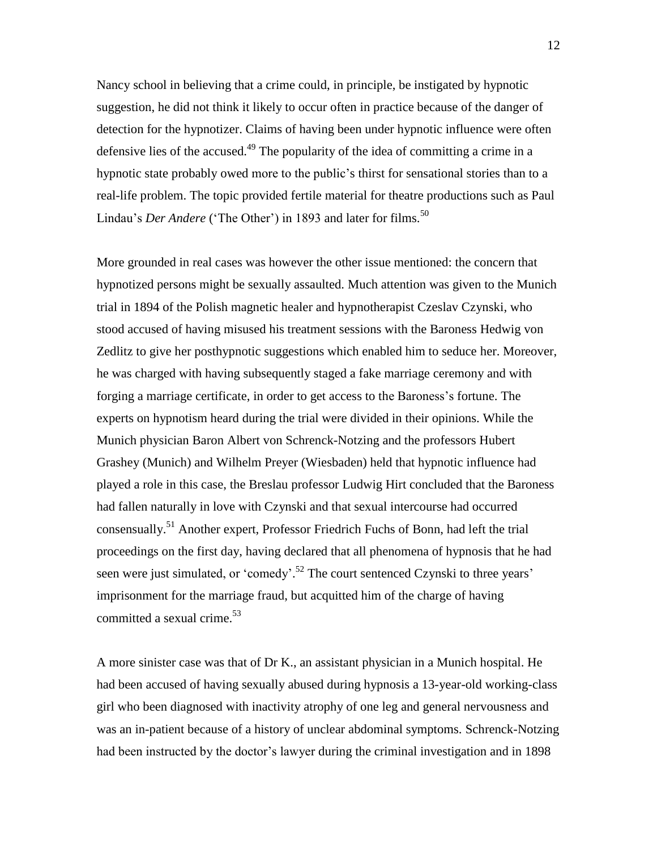Nancy school in believing that a crime could, in principle, be instigated by hypnotic suggestion, he did not think it likely to occur often in practice because of the danger of detection for the hypnotizer. Claims of having been under hypnotic influence were often defensive lies of the accused.<sup>49</sup> The popularity of the idea of committing a crime in a hypnotic state probably owed more to the public's thirst for sensational stories than to a real-life problem. The topic provided fertile material for theatre productions such as Paul Lindau's *Der Andere* ('The Other') in 1893 and later for films.<sup>50</sup>

More grounded in real cases was however the other issue mentioned: the concern that hypnotized persons might be sexually assaulted. Much attention was given to the Munich trial in 1894 of the Polish magnetic healer and hypnotherapist Czeslav Czynski, who stood accused of having misused his treatment sessions with the Baroness Hedwig von Zedlitz to give her posthypnotic suggestions which enabled him to seduce her. Moreover, he was charged with having subsequently staged a fake marriage ceremony and with forging a marriage certificate, in order to get access to the Baroness's fortune. The experts on hypnotism heard during the trial were divided in their opinions. While the Munich physician Baron Albert von Schrenck-Notzing and the professors Hubert Grashey (Munich) and Wilhelm Preyer (Wiesbaden) held that hypnotic influence had played a role in this case, the Breslau professor Ludwig Hirt concluded that the Baroness had fallen naturally in love with Czynski and that sexual intercourse had occurred consensually.<sup>51</sup> Another expert, Professor Friedrich Fuchs of Bonn, had left the trial proceedings on the first day, having declared that all phenomena of hypnosis that he had seen were just simulated, or 'comedy'.<sup>52</sup> The court sentenced Czynski to three years' imprisonment for the marriage fraud, but acquitted him of the charge of having committed a sexual crime. 53

A more sinister case was that of Dr K., an assistant physician in a Munich hospital. He had been accused of having sexually abused during hypnosis a 13-year-old working-class girl who been diagnosed with inactivity atrophy of one leg and general nervousness and was an in-patient because of a history of unclear abdominal symptoms. Schrenck-Notzing had been instructed by the doctor's lawyer during the criminal investigation and in 1898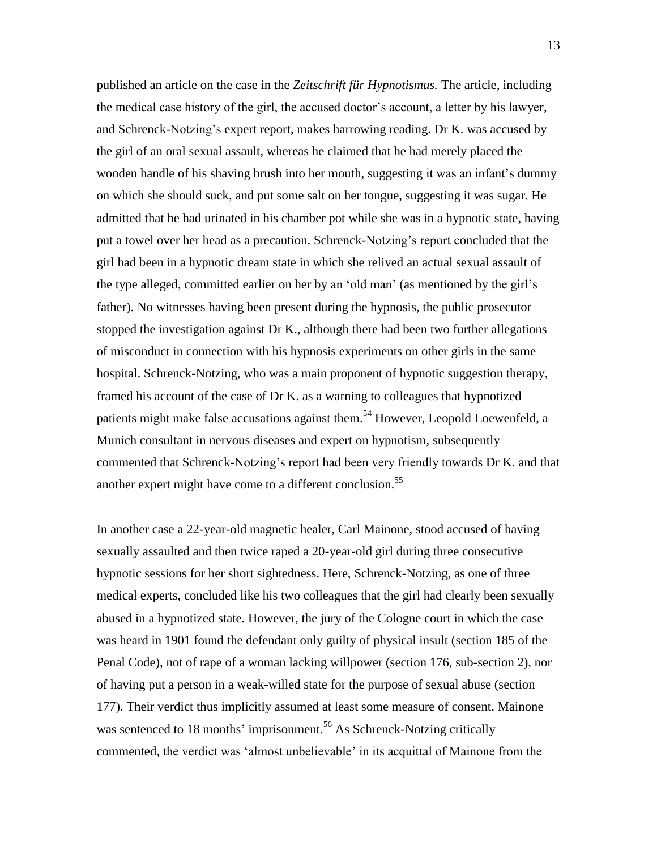published an article on the case in the *Zeitschrift für Hypnotismus.* The article, including the medical case history of the girl, the accused doctor's account, a letter by his lawyer, and Schrenck-Notzing's expert report, makes harrowing reading. Dr K. was accused by the girl of an oral sexual assault, whereas he claimed that he had merely placed the wooden handle of his shaving brush into her mouth, suggesting it was an infant's dummy on which she should suck, and put some salt on her tongue, suggesting it was sugar. He admitted that he had urinated in his chamber pot while she was in a hypnotic state, having put a towel over her head as a precaution. Schrenck-Notzing's report concluded that the girl had been in a hypnotic dream state in which she relived an actual sexual assault of the type alleged, committed earlier on her by an 'old man' (as mentioned by the girl's father). No witnesses having been present during the hypnosis, the public prosecutor stopped the investigation against Dr K., although there had been two further allegations of misconduct in connection with his hypnosis experiments on other girls in the same hospital. Schrenck-Notzing, who was a main proponent of hypnotic suggestion therapy, framed his account of the case of Dr K. as a warning to colleagues that hypnotized patients might make false accusations against them.<sup>54</sup> However, Leopold Loewenfeld, a Munich consultant in nervous diseases and expert on hypnotism, subsequently commented that Schrenck-Notzing's report had been very friendly towards Dr K. and that another expert might have come to a different conclusion.<sup>55</sup>

In another case a 22-year-old magnetic healer, Carl Mainone, stood accused of having sexually assaulted and then twice raped a 20-year-old girl during three consecutive hypnotic sessions for her short sightedness. Here, Schrenck-Notzing, as one of three medical experts, concluded like his two colleagues that the girl had clearly been sexually abused in a hypnotized state. However, the jury of the Cologne court in which the case was heard in 1901 found the defendant only guilty of physical insult (section 185 of the Penal Code), not of rape of a woman lacking willpower (section 176, sub-section 2), nor of having put a person in a weak-willed state for the purpose of sexual abuse (section 177). Their verdict thus implicitly assumed at least some measure of consent. Mainone was sentenced to 18 months' imprisonment.<sup>56</sup> As Schrenck-Notzing critically commented, the verdict was 'almost unbelievable' in its acquittal of Mainone from the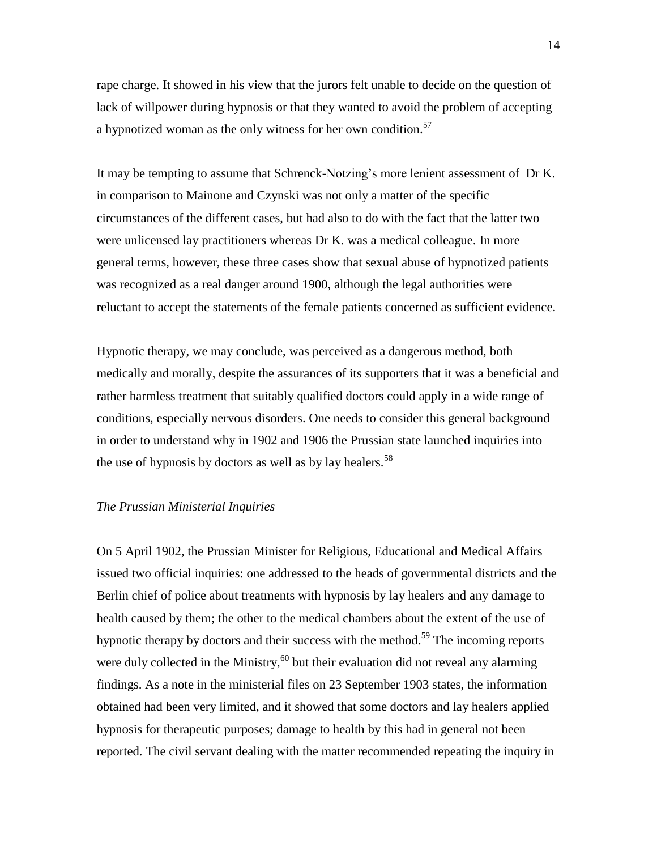rape charge. It showed in his view that the jurors felt unable to decide on the question of lack of willpower during hypnosis or that they wanted to avoid the problem of accepting a hypnotized woman as the only witness for her own condition.<sup>57</sup>

It may be tempting to assume that Schrenck-Notzing's more lenient assessment of Dr K. in comparison to Mainone and Czynski was not only a matter of the specific circumstances of the different cases, but had also to do with the fact that the latter two were unlicensed lay practitioners whereas Dr K. was a medical colleague. In more general terms, however, these three cases show that sexual abuse of hypnotized patients was recognized as a real danger around 1900, although the legal authorities were reluctant to accept the statements of the female patients concerned as sufficient evidence.

Hypnotic therapy, we may conclude, was perceived as a dangerous method, both medically and morally, despite the assurances of its supporters that it was a beneficial and rather harmless treatment that suitably qualified doctors could apply in a wide range of conditions, especially nervous disorders. One needs to consider this general background in order to understand why in 1902 and 1906 the Prussian state launched inquiries into the use of hypnosis by doctors as well as by lay healers.<sup>58</sup>

## *The Prussian Ministerial Inquiries*

On 5 April 1902, the Prussian Minister for Religious, Educational and Medical Affairs issued two official inquiries: one addressed to the heads of governmental districts and the Berlin chief of police about treatments with hypnosis by lay healers and any damage to health caused by them; the other to the medical chambers about the extent of the use of hypnotic therapy by doctors and their success with the method.<sup>59</sup> The incoming reports were duly collected in the Ministry,  $60$  but their evaluation did not reveal any alarming findings. As a note in the ministerial files on 23 September 1903 states, the information obtained had been very limited, and it showed that some doctors and lay healers applied hypnosis for therapeutic purposes; damage to health by this had in general not been reported. The civil servant dealing with the matter recommended repeating the inquiry in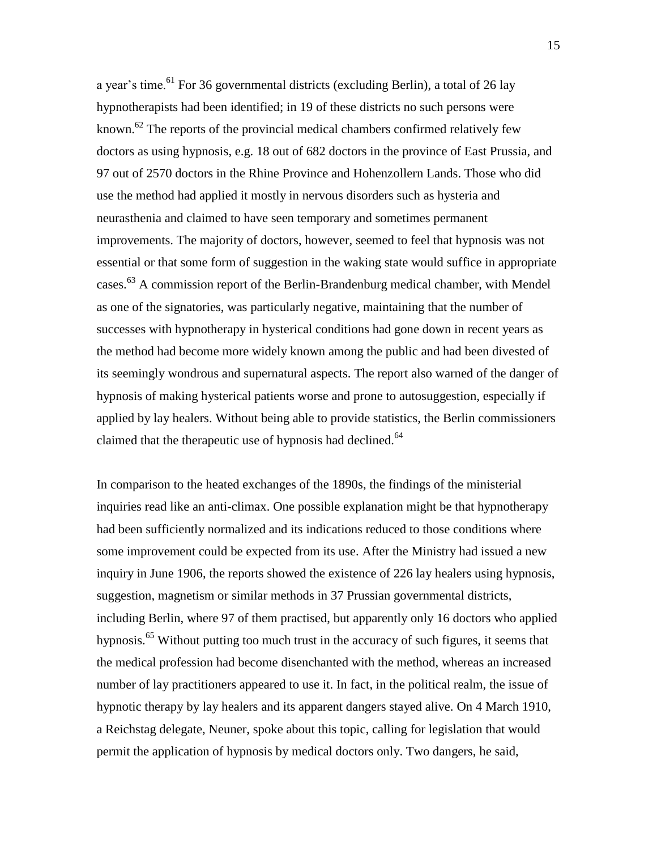a year's time.<sup>61</sup> For 36 governmental districts (excluding Berlin), a total of 26 lay hypnotherapists had been identified; in 19 of these districts no such persons were known.<sup>62</sup> The reports of the provincial medical chambers confirmed relatively few doctors as using hypnosis, e.g. 18 out of 682 doctors in the province of East Prussia, and 97 out of 2570 doctors in the Rhine Province and Hohenzollern Lands. Those who did use the method had applied it mostly in nervous disorders such as hysteria and neurasthenia and claimed to have seen temporary and sometimes permanent improvements. The majority of doctors, however, seemed to feel that hypnosis was not essential or that some form of suggestion in the waking state would suffice in appropriate cases.<sup>63</sup> A commission report of the Berlin-Brandenburg medical chamber, with Mendel as one of the signatories, was particularly negative, maintaining that the number of successes with hypnotherapy in hysterical conditions had gone down in recent years as the method had become more widely known among the public and had been divested of its seemingly wondrous and supernatural aspects. The report also warned of the danger of hypnosis of making hysterical patients worse and prone to autosuggestion, especially if applied by lay healers. Without being able to provide statistics, the Berlin commissioners claimed that the therapeutic use of hypnosis had declined.<sup>64</sup>

In comparison to the heated exchanges of the 1890s, the findings of the ministerial inquiries read like an anti-climax. One possible explanation might be that hypnotherapy had been sufficiently normalized and its indications reduced to those conditions where some improvement could be expected from its use. After the Ministry had issued a new inquiry in June 1906, the reports showed the existence of 226 lay healers using hypnosis, suggestion, magnetism or similar methods in 37 Prussian governmental districts, including Berlin, where 97 of them practised, but apparently only 16 doctors who applied hypnosis.<sup>65</sup> Without putting too much trust in the accuracy of such figures, it seems that the medical profession had become disenchanted with the method, whereas an increased number of lay practitioners appeared to use it. In fact, in the political realm, the issue of hypnotic therapy by lay healers and its apparent dangers stayed alive. On 4 March 1910, a Reichstag delegate, Neuner, spoke about this topic, calling for legislation that would permit the application of hypnosis by medical doctors only. Two dangers, he said,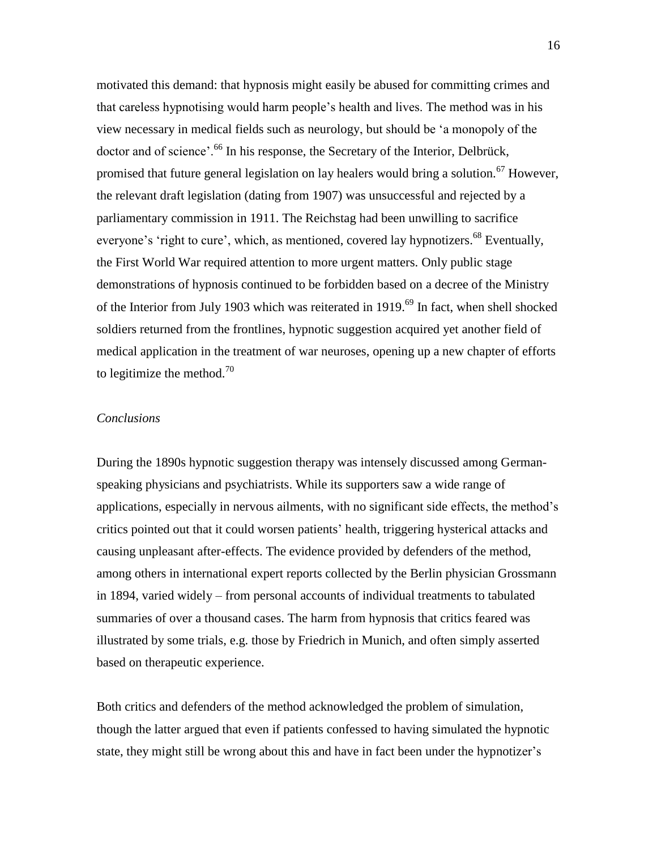motivated this demand: that hypnosis might easily be abused for committing crimes and that careless hypnotising would harm people's health and lives. The method was in his view necessary in medical fields such as neurology, but should be 'a monopoly of the doctor and of science'.<sup>66</sup> In his response, the Secretary of the Interior, Delbrück, promised that future general legislation on lay healers would bring a solution.<sup>67</sup> However, the relevant draft legislation (dating from 1907) was unsuccessful and rejected by a parliamentary commission in 1911. The Reichstag had been unwilling to sacrifice everyone's 'right to cure', which, as mentioned, covered lay hypnotizers.<sup>68</sup> Eventually, the First World War required attention to more urgent matters. Only public stage demonstrations of hypnosis continued to be forbidden based on a decree of the Ministry of the Interior from July 1903 which was reiterated in 1919.<sup>69</sup> In fact, when shell shocked soldiers returned from the frontlines, hypnotic suggestion acquired yet another field of medical application in the treatment of war neuroses, opening up a new chapter of efforts to legitimize the method.<sup>70</sup>

## *Conclusions*

During the 1890s hypnotic suggestion therapy was intensely discussed among Germanspeaking physicians and psychiatrists. While its supporters saw a wide range of applications, especially in nervous ailments, with no significant side effects, the method's critics pointed out that it could worsen patients' health, triggering hysterical attacks and causing unpleasant after-effects. The evidence provided by defenders of the method, among others in international expert reports collected by the Berlin physician Grossmann in 1894, varied widely – from personal accounts of individual treatments to tabulated summaries of over a thousand cases. The harm from hypnosis that critics feared was illustrated by some trials, e.g. those by Friedrich in Munich, and often simply asserted based on therapeutic experience.

Both critics and defenders of the method acknowledged the problem of simulation, though the latter argued that even if patients confessed to having simulated the hypnotic state, they might still be wrong about this and have in fact been under the hypnotizer's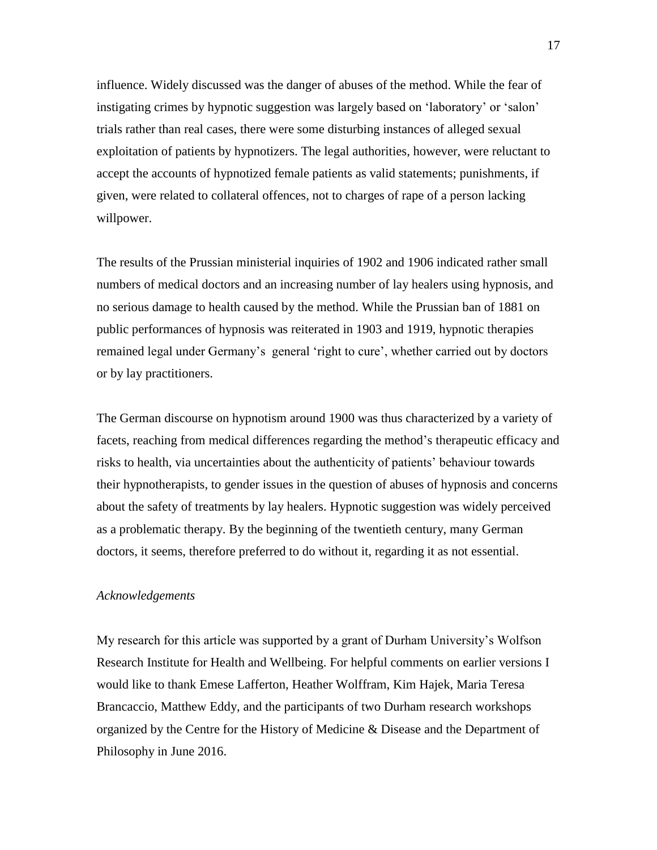influence. Widely discussed was the danger of abuses of the method. While the fear of instigating crimes by hypnotic suggestion was largely based on 'laboratory' or 'salon' trials rather than real cases, there were some disturbing instances of alleged sexual exploitation of patients by hypnotizers. The legal authorities, however, were reluctant to accept the accounts of hypnotized female patients as valid statements; punishments, if given, were related to collateral offences, not to charges of rape of a person lacking willpower.

The results of the Prussian ministerial inquiries of 1902 and 1906 indicated rather small numbers of medical doctors and an increasing number of lay healers using hypnosis, and no serious damage to health caused by the method. While the Prussian ban of 1881 on public performances of hypnosis was reiterated in 1903 and 1919, hypnotic therapies remained legal under Germany's general 'right to cure', whether carried out by doctors or by lay practitioners.

The German discourse on hypnotism around 1900 was thus characterized by a variety of facets, reaching from medical differences regarding the method's therapeutic efficacy and risks to health, via uncertainties about the authenticity of patients' behaviour towards their hypnotherapists, to gender issues in the question of abuses of hypnosis and concerns about the safety of treatments by lay healers. Hypnotic suggestion was widely perceived as a problematic therapy. By the beginning of the twentieth century, many German doctors, it seems, therefore preferred to do without it, regarding it as not essential.

## *Acknowledgements*

My research for this article was supported by a grant of Durham University's Wolfson Research Institute for Health and Wellbeing. For helpful comments on earlier versions I would like to thank Emese Lafferton, Heather Wolffram, Kim Hajek, Maria Teresa Brancaccio, Matthew Eddy, and the participants of two Durham research workshops organized by the Centre for the History of Medicine & Disease and the Department of Philosophy in June 2016.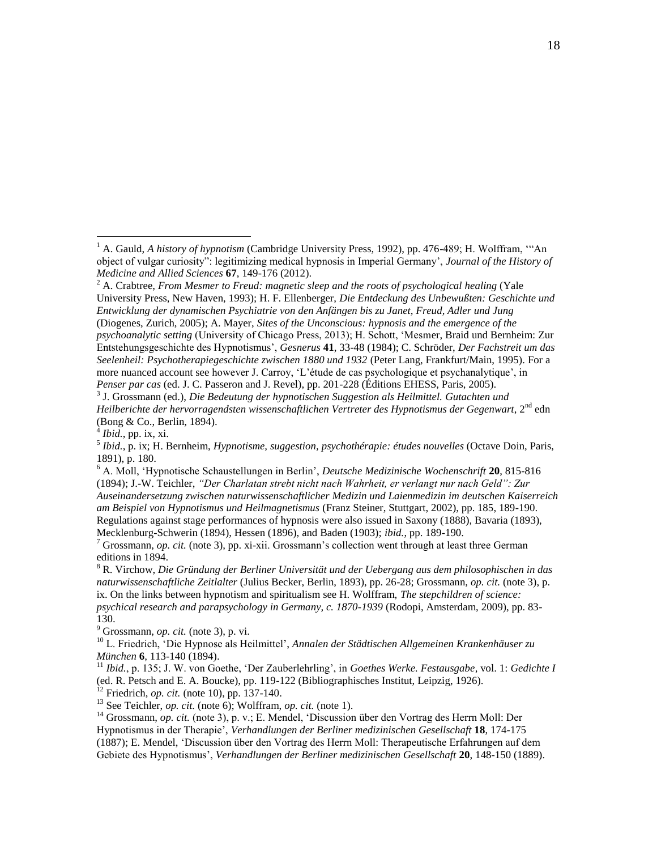more nuanced account see however J. Carroy, 'L'étude de cas psychologique et psychanalytique', in *Penser par cas* (ed. J. C. Passeron and J. Revel), pp. 201-228 (Éditions EHESS, Paris, 2005).

3 J. Grossmann (ed.), *Die Bedeutung der hypnotischen Suggestion als Heilmittel. Gutachten und Heilberichte der hervorragendsten wissenschaftlichen Vertreter des Hypnotismus der Gegenwart*, 2nd edn (Bong & Co., Berlin, 1894).

 $^{4}$ *Ibid.*, pp. ix, xi.

 $\overline{a}$ 

 $9^9$  Grossmann, *op. cit.* (note 3), p. vi.

<sup>12</sup> Friedrich, *op. cit.* (note 10), pp. 137-140.

<sup>1</sup> A. Gauld, *A history of hypnotism* (Cambridge University Press, 1992), pp. 476-489; H. Wolffram, '"An object of vulgar curiosity": legitimizing medical hypnosis in Imperial Germany', *Journal of the History of Medicine and Allied Sciences* **67**, 149-176 (2012).

<sup>&</sup>lt;sup>2</sup> A. Crabtree, *From Mesmer to Freud: magnetic sleep and the roots of psychological healing* (Yale University Press, New Haven, 1993); H. F. Ellenberger, *Die Entdeckung des Unbewußten: Geschichte und Entwicklung der dynamischen Psychiatrie von den Anfängen bis zu Janet, Freud, Adler und Jung* (Diogenes, Zurich, 2005); A. Mayer, *Sites of the Unconscious: hypnosis and the emergence of the psychoanalytic setting* (University of Chicago Press, 2013); H. Schott, 'Mesmer, Braid und Bernheim: Zur Entstehungsgeschichte des Hypnotismus', *Gesnerus* **41**, 33-48 (1984); C. Schröder, *Der Fachstreit um das Seelenheil: Psychotherapiegeschichte zwischen 1880 und 1932* (Peter Lang, Frankfurt/Main, 1995). For a

<sup>5</sup> *Ibid.*, p. ix; H. Bernheim, *Hypnotisme, suggestion, psychothérapie: études nouvelles* (Octave Doin, Paris, 1891), p. 180.

<sup>6</sup> A. Moll, 'Hypnotische Schaustellungen in Berlin', *Deutsche Medizinische Wochenschrift* **20**, 815-816 (1894); J.-W. Teichler, *"Der Charlatan strebt nicht nach Wahrheit, er verlangt nur nach Geld": Zur Auseinandersetzung zwischen naturwissenschaftlicher Medizin und Laienmedizin im deutschen Kaiserreich am Beispiel von Hypnotismus und Heilmagnetismus* (Franz Steiner, Stuttgart, 2002), pp. 185, 189-190. Regulations against stage performances of hypnosis were also issued in Saxony (1888), Bavaria (1893), Mecklenburg-Schwerin (1894), Hessen (1896), and Baden (1903); *ibid.*, pp. 189-190.

<sup>7</sup> Grossmann, *op. cit.* (note 3), pp. xi-xii. Grossmann's collection went through at least three German editions in 1894.

<sup>8</sup> R. Virchow, *Die Gründung der Berliner Universität und der Uebergang aus dem philosophischen in das naturwissenschaftliche Zeitlalter* (Julius Becker, Berlin, 1893), pp. 26-28; Grossmann, *op. cit.* (note 3), p. ix. On the links between hypnotism and spiritualism see H. Wolffram, *The stepchildren of science: psychical research and parapsychology in Germany, c. 1870-1939* (Rodopi, Amsterdam, 2009), pp. 83- 130.

<sup>10</sup> L. Friedrich, 'Die Hypnose als Heilmittel', *Annalen der Städtischen Allgemeinen Krankenhäuser zu München* **6**, 113-140 (1894).

<sup>11</sup> *Ibid.*, p. 135; J. W. von Goethe, 'Der Zauberlehrling', in *Goethes Werke. Festausgabe,* vol. 1: *Gedichte I* (ed. R. Petsch and E. A. Boucke), pp. 119-122 (Bibliographisches Institut, Leipzig, 1926).

<sup>13</sup> See Teichler, *op. cit.* (note 6); Wolffram, *op. cit.* (note 1).

<sup>&</sup>lt;sup>14</sup> Grossmann, *op. cit.* (note 3), p. v.; E. Mendel, 'Discussion über den Vortrag des Herrn Moll: Der Hypnotismus in der Therapie', *Verhandlungen der Berliner medizinischen Gesellschaft* **18**, 174-175 (1887); E. Mendel, 'Discussion über den Vortrag des Herrn Moll: Therapeutische Erfahrungen auf dem Gebiete des Hypnotismus', *Verhandlungen der Berliner medizinischen Gesellschaft* **20**, 148-150 (1889).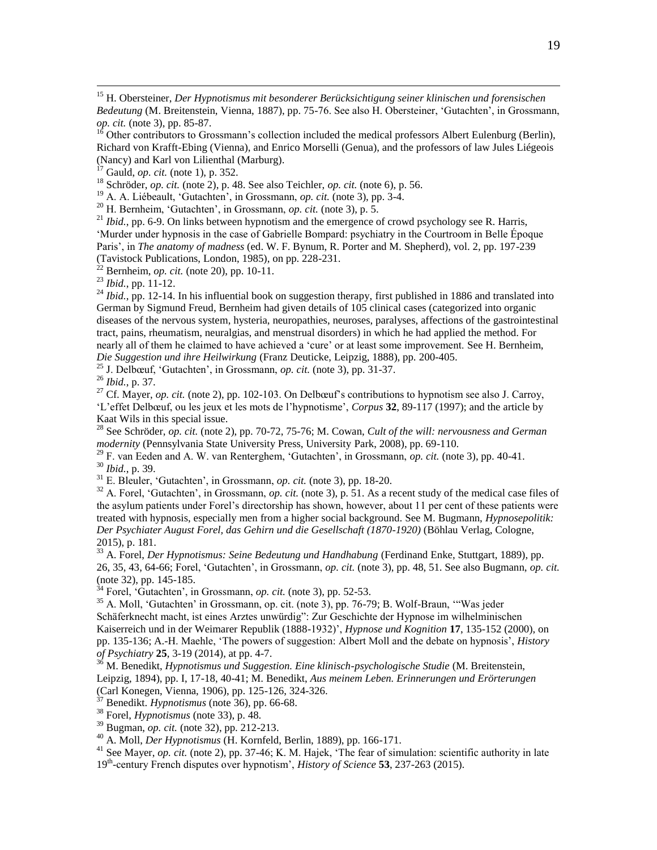<sup>15</sup> H. Obersteiner, *Der Hypnotismus mit besonderer Berücksichtigung seiner klinischen und forensischen Bedeutung* (M. Breitenstein, Vienna, 1887), pp. 75-76. See also H. Obersteiner, 'Gutachten', in Grossmann, *op. cit.* (note 3), pp. 85-87.

 $16$  Other contributors to Grossmann's collection included the medical professors Albert Eulenburg (Berlin), Richard von Krafft-Ebing (Vienna), and Enrico Morselli (Genua), and the professors of law Jules Liégeois (Nancy) and Karl von Lilienthal (Marburg).

<sup>17</sup> Gauld, *op. cit.* (note 1), p. 352.

<sup>18</sup> Schröder, *op. cit.* (note 2), p. 48. See also Teichler, *op. cit.* (note 6), p. 56.

<sup>19</sup> A. A. Liébeault, 'Gutachten', in Grossmann, *op. cit.* (note 3), pp. 3-4.

<sup>20</sup> H. Bernheim, 'Gutachten', in Grossmann, *op. cit.* (note 3), p. 5.

 $^{21}$  *Ibid.*, pp. 6-9. On links between hypnotism and the emergence of crowd psychology see R. Harris, 'Murder under hypnosis in the case of Gabrielle Bompard: psychiatry in the Courtroom in Belle Époque Paris', in *The anatomy of madness* (ed. W. F. Bynum, R. Porter and M. Shepherd), vol. 2, pp. 197-239 (Tavistock Publications, London, 1985), on pp. 228-231.

 $^{22}$  Bernheim, *op. cit.* (note 20), pp. 10-11.

<sup>23</sup> *Ibid.*, pp. 11-12.

 $\overline{a}$ 

<sup>24</sup> *Ibid.*, pp. 12-14. In his influential book on suggestion therapy, first published in 1886 and translated into German by Sigmund Freud, Bernheim had given details of 105 clinical cases (categorized into organic diseases of the nervous system, hysteria, neuropathies, neuroses, paralyses, affections of the gastrointestinal tract, pains, rheumatism, neuralgias, and menstrual disorders) in which he had applied the method. For nearly all of them he claimed to have achieved a 'cure' or at least some improvement. See H. Bernheim, *Die Suggestion und ihre Heilwirkung* (Franz Deuticke, Leipzig, 1888), pp. 200-405.

<sup>25</sup> J. Delbœuf, 'Gutachten', in Grossmann, *op. cit.* (note 3), pp. 31-37.

<sup>26</sup> *Ibid.*, p. 37.

<sup>27</sup> Cf. Mayer, *op. cit.* (note 2), pp. 102-103. On Delbœuf's contributions to hypnotism see also J. Carroy. 'L'effet Delbœuf, ou les jeux et les mots de l'hypnotisme', *Corpus* **32**, 89-117 (1997); and the article by Kaat Wils in this special issue.

<sup>28</sup> See Schröder, *op. cit.* (note 2), pp. 70-72, 75-76; M. Cowan, *Cult of the will: nervousness and German modernity* (Pennsylvania State University Press, University Park, 2008), pp. 69-110.

<sup>29</sup> F. van Eeden and A. W. van Renterghem, 'Gutachten', in Grossmann, *op. cit.* (note 3), pp. 40-41. <sup>30</sup> *Ibid.*, p. 39.

<sup>31</sup> E. Bleuler, 'Gutachten', in Grossmann, *op. cit.* (note 3), pp. 18-20.

 $32$  A. Forel, 'Gutachten', in Grossmann, *op. cit.* (note 3), p. 51. As a recent study of the medical case files of the asylum patients under Forel's directorship has shown, however, about 11 per cent of these patients were treated with hypnosis, especially men from a higher social background. See M. Bugmann, *Hypnosepolitik: Der Psychiater August Forel, das Gehirn und die Gesellschaft (1870-1920)* (Böhlau Verlag, Cologne, 2015), p. 181.

<sup>33</sup> A. Forel, *Der Hypnotismus: Seine Bedeutung und Handhabung* (Ferdinand Enke, Stuttgart, 1889), pp. 26, 35, 43, 64-66; Forel, 'Gutachten', in Grossmann, *op. cit.* (note 3), pp. 48, 51. See also Bugmann, *op. cit.* (note 32), pp. 145-185.

<sup>34</sup> Forel, 'Gutachten', in Grossmann, *op. cit.* (note 3), pp. 52-53.

<sup>35</sup> A. Moll, 'Gutachten' in Grossmann, op. cit. (note 3), pp. 76-79; B. Wolf-Braun, '"Was jeder Schäferknecht macht, ist eines Arztes unwürdig": Zur Geschichte der Hypnose im wilhelminischen Kaiserreich und in der Weimarer Republik (1888-1932)', *Hypnose und Kognition* **17**, 135-152 (2000), on pp. 135-136; A.-H. Maehle, 'The powers of suggestion: Albert Moll and the debate on hypnosis', *History of Psychiatry* **25**, 3-19 (2014), at pp. 4-7.

<sup>36</sup> M. Benedikt, *Hypnotismus und Suggestion. Eine klinisch-psychologische Studie* (M. Breitenstein, Leipzig, 1894), pp. I, 17-18, 40-41; M. Benedikt, *Aus meinem Leben. Erinnerungen und Erörterungen* (Carl Konegen, Vienna, 1906), pp. 125-126, 324-326.

Benedikt. *Hypnotismus* (note 36), pp. 66-68.

<sup>38</sup> Forel, *Hypnotismus* (note 33), p. 48.

<sup>39</sup> Bugman, *op. cit.* (note 32), pp. 212-213.

<sup>40</sup> A. Moll, *Der Hypnotismus* (H. Kornfeld, Berlin, 1889), pp. 166-171.

<sup>41</sup> See Mayer, *op. cit.* (note 2), pp. 37-46; K. M. Hajek, 'The fear of simulation: scientific authority in late 19th -century French disputes over hypnotism', *History of Science* **53**, 237-263 (2015).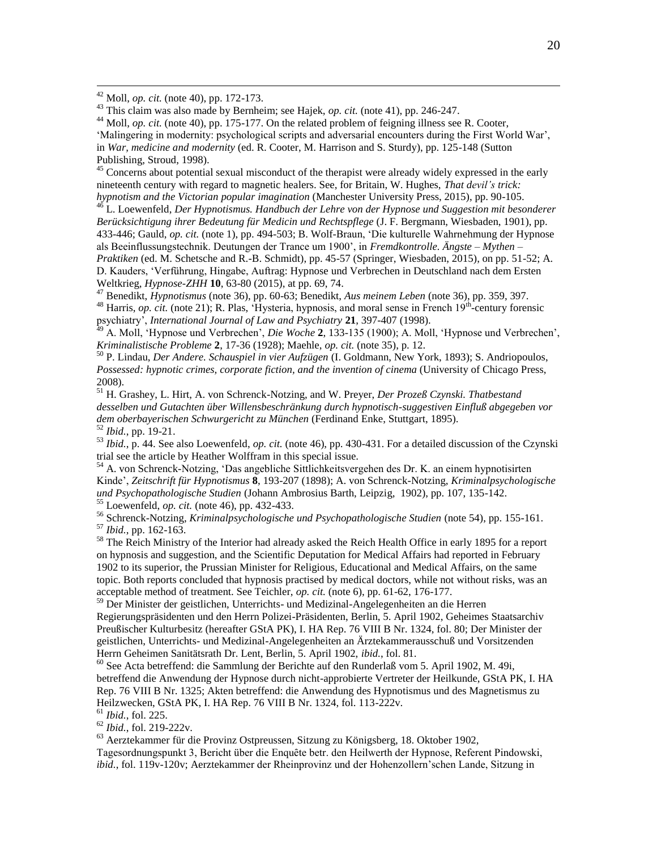<sup>42</sup> Moll, *op. cit.* (note 40), pp. 172-173.

 $\overline{a}$ 

<sup>43</sup> This claim was also made by Bernheim; see Hajek, *op. cit.* (note 41), pp. 246-247.

<sup>44</sup> Moll, *op. cit.* (note 40), pp. 175-177. On the related problem of feigning illness see R. Cooter,

'Malingering in modernity: psychological scripts and adversarial encounters during the First World War', in *War, medicine and modernity* (ed. R. Cooter, M. Harrison and S. Sturdy), pp. 125-148 (Sutton

Publishing, Stroud, 1998).

<sup>45</sup> Concerns about potential sexual misconduct of the therapist were already widely expressed in the early nineteenth century with regard to magnetic healers. See, for Britain, W. Hughes, *That devil's trick: hypnotism and the Victorian popular imagination* (Manchester University Press, 2015), pp. 90-105.

<sup>46</sup> L. Loewenfeld, *Der Hypnotismus. Handbuch der Lehre von der Hypnose und Suggestion mit besonderer Berücksichtigung ihrer Bedeutung für Medicin und Rechtspflege* (J. F. Bergmann, Wiesbaden, 1901), pp. 433-446; Gauld, *op. cit.* (note 1), pp. 494-503; B. Wolf-Braun, 'Die kulturelle Wahrnehmung der Hypnose als Beeinflussungstechnik. Deutungen der Trance um 1900', in *Fremdkontrolle. Ängste – Mythen – Praktiken* (ed. M. Schetsche and R.-B. Schmidt), pp. 45-57 (Springer, Wiesbaden, 2015), on pp. 51-52; A. D. Kauders, 'Verführung, Hingabe, Auftrag: Hypnose und Verbrechen in Deutschland nach dem Ersten Weltkrieg, *Hypnose-ZHH* **10**, 63-80 (2015), at pp. 69, 74.

<sup>47</sup> Benedikt, *Hypnotismus* (note 36), pp. 60-63; Benedikt, *Aus meinem Leben* (note 36), pp. 359, 397. <sup>48</sup> Harris, *op. cit.* (note 21); R. Plas, 'Hysteria, hypnosis, and moral sense in French 19<sup>th</sup>-century forensic psychiatry', *International Journal of Law and Psychiatry* **21**, 397-407 (1998).

<sup>49</sup> A. Moll, 'Hypnose und Verbrechen', *Die Woche* **2**, 133-135 (1900); A. Moll, 'Hypnose und Verbrechen', *Kriminalistische Probleme* **2**, 17-36 (1928); Maehle, *op. cit.* (note 35), p. 12.

<sup>50</sup> P. Lindau, *Der Andere. Schauspiel in vier Aufzügen* (I. Goldmann, New York, 1893); S. Andriopoulos, *Possessed: hypnotic crimes, corporate fiction, and the invention of cinema* (University of Chicago Press, 2008).

<sup>51</sup> H. Grashey, L. Hirt, A. von Schrenck-Notzing, and W. Preyer, *Der Prozeß Czynski. Thatbestand desselben und Gutachten über Willensbeschränkung durch hypnotisch-suggestiven Einfluß abgegeben vor dem oberbayerischen Schwurgericht zu München* (Ferdinand Enke, Stuttgart, 1895). <sup>52</sup> *Ibid.*, pp. 19-21.

<sup>53</sup> *Ibid.*, p. 44. See also Loewenfeld, *op. cit.* (note 46), pp. 430-431. For a detailed discussion of the Czynski trial see the article by Heather Wolffram in this special issue.

<sup>54</sup> A. von Schrenck-Notzing, 'Das angebliche Sittlichkeitsvergehen des Dr. K. an einem hypnotisirten Kinde', *Zeitschrift für Hypnotismus* **8**, 193-207 (1898); A. von Schrenck-Notzing, *Kriminalpsychologische und Psychopathologische Studien* (Johann Ambrosius Barth, Leipzig, 1902), pp. 107, 135-142. <sup>55</sup> Loewenfeld, *op. cit.* (note 46), pp. 432-433.

<sup>56</sup> Schrenck-Notzing, *Kriminalpsychologische und Psychopathologische Studien* (note 54), pp. 155-161. <sup>57</sup> *Ibid.*, pp. 162-163.

<sup>58</sup> The Reich Ministry of the Interior had already asked the Reich Health Office in early 1895 for a report on hypnosis and suggestion, and the Scientific Deputation for Medical Affairs had reported in February 1902 to its superior, the Prussian Minister for Religious, Educational and Medical Affairs, on the same topic. Both reports concluded that hypnosis practised by medical doctors, while not without risks, was an acceptable method of treatment. See Teichler, *op. cit.* (note 6), pp. 61-62, 176-177.

<sup>59</sup> Der Minister der geistlichen, Unterrichts- und Medizinal-Angelegenheiten an die Herren Regierungspräsidenten und den Herrn Polizei-Präsidenten, Berlin, 5. April 1902, Geheimes Staatsarchiv Preußischer Kulturbesitz (hereafter GStA PK), I. HA Rep. 76 VIII B Nr. 1324, fol. 80; Der Minister der geistlichen, Unterrichts- und Medizinal-Angelegenheiten an Ärztekammerausschuß und Vorsitzenden Herrn Geheimen Sanitätsrath Dr. Lent, Berlin, 5. April 1902, *ibid.*, fol. 81.

 $^{60}$  See Acta betreffend: die Sammlung der Berichte auf den Runderlaß vom 5. April 1902, M. 49i, betreffend die Anwendung der Hypnose durch nicht-approbierte Vertreter der Heilkunde, GStA PK, I. HA Rep. 76 VIII B Nr. 1325; Akten betreffend: die Anwendung des Hypnotismus und des Magnetismus zu Heilzwecken, GStA PK, I. HA Rep. 76 VIII B Nr. 1324, fol. 113-222v.

<sup>61</sup> *Ibid.*, fol. 225.

<sup>62</sup> *Ibid.*, fol. 219-222v.

<sup>63</sup> Aerztekammer für die Provinz Ostpreussen, Sitzung zu Königsberg, 18. Oktober 1902,

Tagesordnungspunkt 3, Bericht über die Enquête betr. den Heilwerth der Hypnose, Referent Pindowski, *ibid.*, fol. 119v-120v; Aerztekammer der Rheinprovinz und der Hohenzollern'schen Lande, Sitzung in